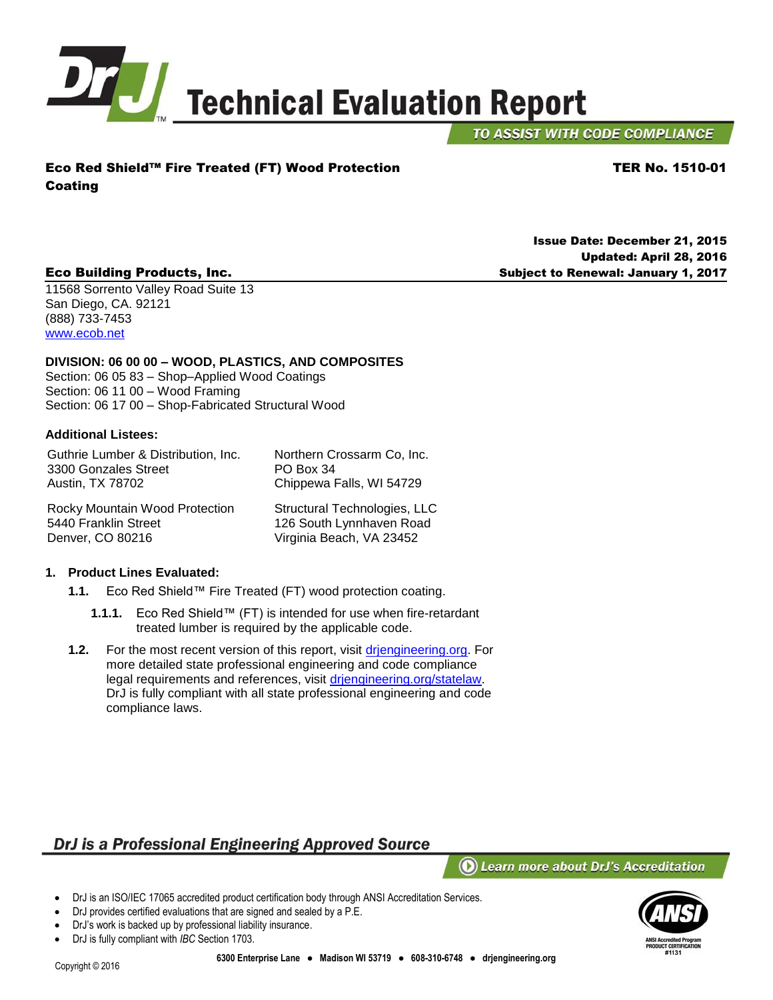

TO ASSIST WITH CODE COMPLIANCE

TER No. 1510-01

Issue Date: December 21, 2015

Subject to Renewal: January 1, 2017

Updated: April 28, 2016

## Eco Red Shield™ Fire Treated (FT) Wood Protection Coating

### Eco Building Products, Inc.

11568 Sorrento Valley Road Suite 13 San Diego, CA. 92121 (888) 733-7453 [www.ecob.net](http://www.ecob.net/)

#### **DIVISION: 06 00 00 – WOOD, PLASTICS, AND COMPOSITES**

Section: 06 05 83 – Shop–Applied Wood Coatings Section: 06 11 00 – Wood Framing Section: 06 17 00 – Shop-Fabricated Structural Wood

#### <span id="page-0-0"></span>**Additional Listees:**

Denver, CO 80216

Guthrie Lumber & Distribution, Inc. 3300 Gonzales Street Austin, TX 78702 Northern Crossarm Co, Inc. PO Box 34 Chippewa Falls, WI 54729 Rocky Mountain Wood Protection 5440 Franklin Street Structural Technologies, LLC

**1. Product Lines Evaluated:** 

- **1.1.** Eco Red Shield™ Fire Treated (FT) wood protection coating.
	- **1.1.1.** Eco Red Shield™ (FT) is intended for use when fire-retardant treated lumber is required by the applicable code.
- **1.2.** For the most recent version of this report, visit [drjengineering.org.](http://www.drjengineering.org/) For more detailed state professional engineering and code compliance legal requirements and references, visit [drjengineering.org/statelaw.](http://drjengineering.org/statelaw) DrJ is fully compliant with all state professional engineering and code compliance laws.

# DrJ is a Professional Engineering Approved Source

 $\left(\mathbf{O}\right)$  Learn more about DrJ's Accreditation

- DrJ is an ISO/IEC 17065 accredited product certification body through ANSI Accreditation Services.
- DrJ provides certified evaluations that are signed and sealed by a P.E.
- DrJ's work is backed up by professional liability insurance.
- DrJ is fully compliant with *IBC* Section 1703.



126 South Lynnhaven Road Virginia Beach, VA 23452

#### Copyright © 2016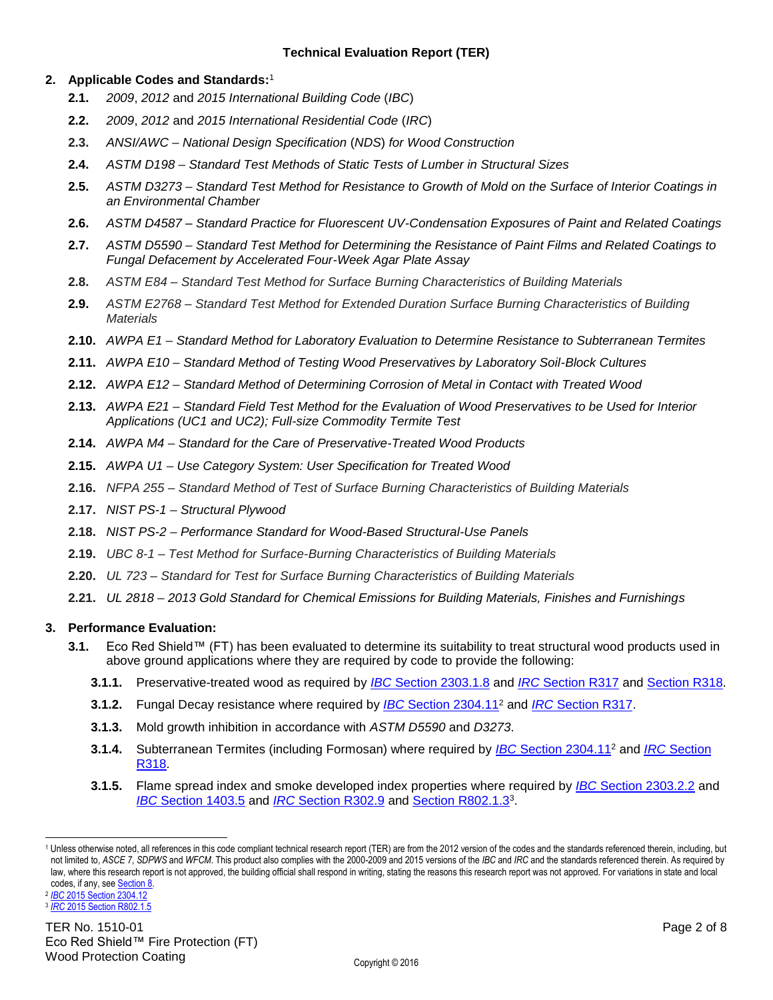### <span id="page-1-0"></span>**2. Applicable Codes and Standards:** 1

- **2.1.** *2009*, *2012* and *2015 International Building Code* (*IBC*)
- **2.2.** *2009*, *2012* and *2015 International Residential Code* (*IRC*)
- **2.3.** *ANSI/AWC – National Design Specification* (*NDS*) *for Wood Construction*
- **2.4.** *ASTM D198 – Standard Test Methods of Static Tests of Lumber in Structural Sizes*
- **2.5.** *ASTM D3273 – Standard Test Method for Resistance to Growth of Mold on the Surface of Interior Coatings in an Environmental Chamber*
- **2.6.** *ASTM D4587 – Standard Practice for Fluorescent UV-Condensation Exposures of Paint and Related Coatings*
- **2.7.** *ASTM D5590 – Standard Test Method for Determining the Resistance of Paint Films and Related Coatings to Fungal Defacement by Accelerated Four-Week Agar Plate Assay*
- **2.8.** *ASTM E84 – Standard Test Method for Surface Burning Characteristics of Building Materials*
- **2.9.** *ASTM E2768 – Standard Test Method for Extended Duration Surface Burning Characteristics of Building Materials*
- **2.10.** *AWPA E1 – Standard Method for Laboratory Evaluation to Determine Resistance to Subterranean Termites*
- **2.11.** *AWPA E10 – Standard Method of Testing Wood Preservatives by Laboratory Soil-Block Cultures*
- **2.12.** *AWPA E12 – Standard Method of Determining Corrosion of Metal in Contact with Treated Wood*
- **2.13.** *AWPA E21 – Standard Field Test Method for the Evaluation of Wood Preservatives to be Used for Interior Applications (UC1 and UC2); Full-size Commodity Termite Test*
- **2.14.** *AWPA M4 – Standard for the Care of Preservative-Treated Wood Products*
- **2.15.** *AWPA U1 – Use Category System: User Specification for Treated Wood*
- **2.16.** *NFPA 255 – Standard Method of Test of Surface Burning Characteristics of Building Materials*
- **2.17.** *NIST PS-1 – Structural Plywood*
- **2.18.** *NIST PS-2 – Performance Standard for Wood-Based Structural-Use Panels*
- **2.19.** *UBC 8-1 – Test Method for Surface-Burning Characteristics of Building Materials*
- **2.20.** *UL 723 – Standard for Test for Surface Burning Characteristics of Building Materials*
- **2.21.** *UL 2818 – 2013 Gold Standard for Chemical Emissions for Building Materials, Finishes and Furnishings*

#### **3. Performance Evaluation:**

- **3.1.** Eco Red Shield™ (FT) has been evaluated to determine its suitability to treat structural wood products used in above ground applications where they are required by code to provide the following:
	- **3.1.1.** Preservative-treated wood as required by *IBC* [Section 2303.1.8](http://publicecodes.cyberregs.com/icod/ibc/2012/icod_ibc_2012_23_par020.htm) and *IRC* [Section R317](http://publicecodes.cyberregs.com/icod/irc/2012/icod_irc_2012_3_sec017.htm?bu2=undefined) and [Section R318.](http://publicecodes.cyberregs.com/icod/irc/2012/icod_irc_2012_3_sec018.htm?bu2=undefined)
	- **3.1.2.** Fungal Decay resistance where required by *IBC* [Section 2304.11](http://publicecodes.cyberregs.com/icod/ibc/2012/icod_ibc_2012_23_par108.htm)<sup>2</sup> and *IRC* [Section R317.](http://publicecodes.cyberregs.com/icod/irc/2012/icod_irc_2012_3_sec017.htm?bu2=undefined)
	- **3.1.3.** Mold growth inhibition in accordance with *ASTM D5590* and *D3273*.
	- **3.1.4.** Subterranean Termites (including Formosan) where required by *IBC* [Section 2304.11](http://publicecodes.cyberregs.com/icod/ibc/2012/icod_ibc_2012_23_par108.htm)<sup>2</sup> and *IRC* [Section](http://publicecodes.cyberregs.com/icod/irc/2012/icod_irc_2012_3_sec018.htm?bu2=undefined)  [R318.](http://publicecodes.cyberregs.com/icod/irc/2012/icod_irc_2012_3_sec018.htm?bu2=undefined)
	- **3.1.5.** Flame spread index and smoke developed index properties where required by *IBC* [Section 2303.2.2](http://publicecodes.cyberregs.com/icod/ibc/2012/icod_ibc_2012_23_sec003.htm) and *IBC* [Section 1403.5](http://publicecodes.cyberregs.com/icod/ibc/2012/icod_ibc_2012_14_par007.htm) and *IRC* [Section R302.9](http://publicecodes.cyberregs.com/icod/irc/2012/icod_irc_2012_3_par061.htm?bu2=undefined) and Section [R802.1.3](http://publicecodes.cyberregs.com/icod/irc/2012/icod_irc_2012_8_par007.htm?bu2=undefined)<sup>3</sup> .

l

<sup>1</sup> Unless otherwise noted, all references in this code compliant technical research report (TER) are from the 2012 version of the codes and the standards referenced therein, including, but not limited to, *ASCE 7*, *SDPWS* and *WFCM*. This product also complies with the 2000-2009 and 2015 versions of the *IBC* and *IRC* and the standards referenced therein. As required by law, where this research report is not approved, the building official shall respond in writing, stating the reasons this research report was not approved*.* For variations in state and local codes, if any, se[e Section 8.](#page-5-0)

<sup>2</sup> *IBC* [2015 Section 2304.12](http://codes.iccsafe.org/app/book/content/2015-I-Codes/2015%20IBC%20HTML/Chapter%2023.html) 3 *IRC* [2015 Section R802.1.5](http://codes.iccsafe.org/app/book/content/2015-I-Codes/2015%20IRC%20HTML/Chapter%208.html)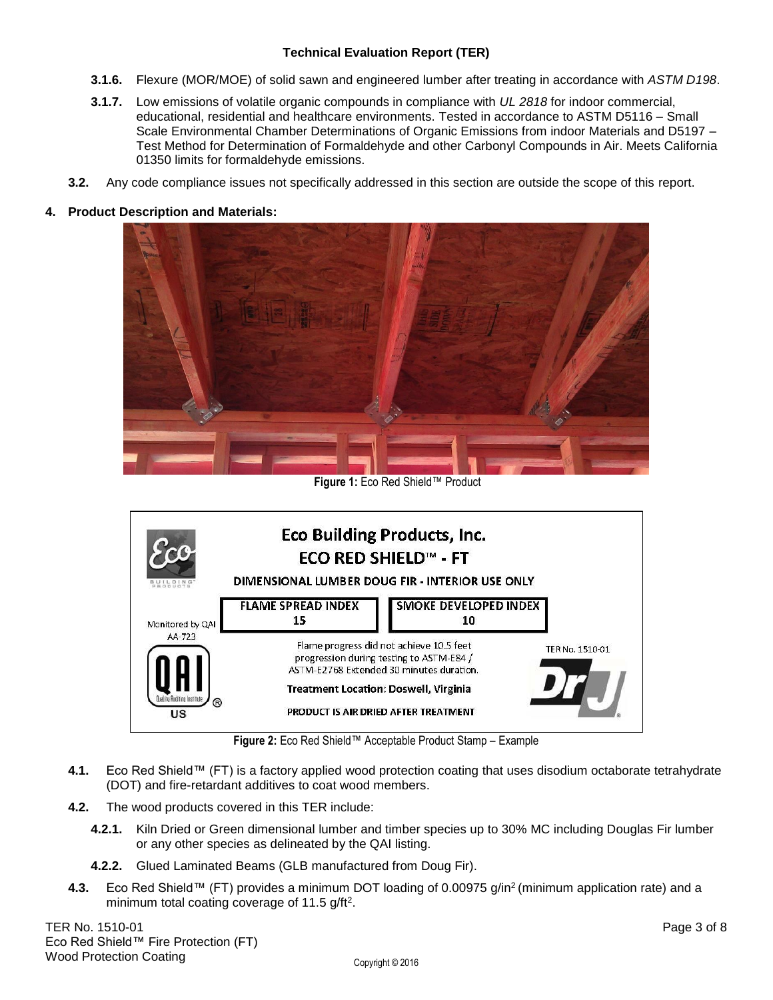- <span id="page-2-0"></span>**3.1.6.** Flexure (MOR/MOE) of solid sawn and engineered lumber after treating in accordance with *ASTM D198*.
- **3.1.7.** Low emissions of volatile organic compounds in compliance with *UL 2818* for indoor commercial, educational, residential and healthcare environments. Tested in accordance to ASTM D5116 – Small Scale Environmental Chamber Determinations of Organic Emissions from indoor Materials and D5197 – Test Method for Determination of Formaldehyde and other Carbonyl Compounds in Air. Meets California 01350 limits for formaldehyde emissions.
- **3.2.** Any code compliance issues not specifically addressed in this section are outside the scope of this report.

#### **4. Product Description and Materials:**



**Figure 1:** Eco Red Shield™ Product



**Figure 2:** Eco Red Shield™ Acceptable Product Stamp – Example

- **4.1.** Eco Red Shield™ (FT) is a factory applied wood protection coating that uses disodium octaborate tetrahydrate (DOT) and fire-retardant additives to coat wood members.
- **4.2.** The wood products covered in this TER include:
	- **4.2.1.** Kiln Dried or Green dimensional lumber and timber species up to 30% MC including Douglas Fir lumber or any other species as delineated by the QAI listing.
	- **4.2.2.** Glued Laminated Beams (GLB manufactured from Doug Fir).
- **4.3.** Eco Red Shield™ (FT) provides a minimum DOT loading of 0.00975 g/in<sup>2</sup> (minimum application rate) and a minimum total coating coverage of 11.5 g/ft<sup>2</sup>.

TER No. 1510-01 Page 3 of 8 Eco Red Shield™ Fire Protection (FT) Wood Protection Coating Weight Copyright © 2016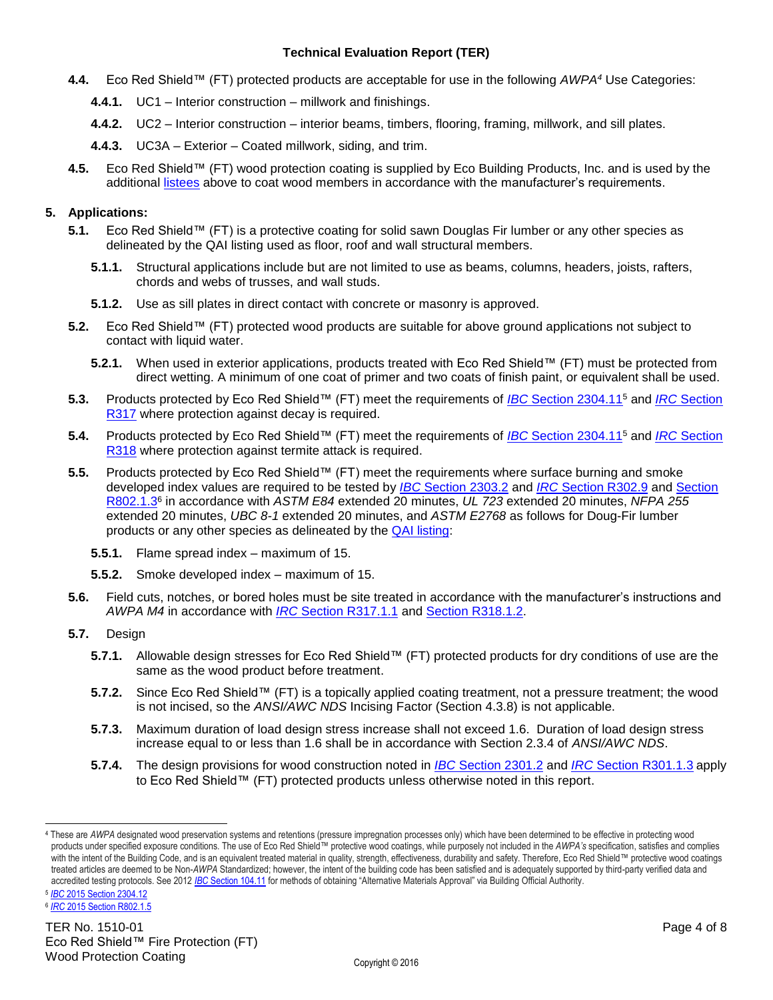- **4.4.** Eco Red Shield™ (FT) protected products are acceptable for use in the following *AWPA<sup>4</sup>* Use Categories:
	- **4.4.1.** UC1 Interior construction millwork and finishings.
	- **4.4.2.** UC2 Interior construction interior beams, timbers, flooring, framing, millwork, and sill plates.
	- **4.4.3.** UC3A Exterior Coated millwork, siding, and trim.
- **4.5.** Eco Red Shield™ (FT) wood protection coating is supplied by Eco Building Products, Inc. and is used by the additional [listees](#page-0-0) above to coat wood members in accordance with the manufacturer's requirements.

#### **5. Applications:**

- **5.1.** Eco Red Shield™ (FT) is a protective coating for solid sawn Douglas Fir lumber or any other species as delineated by the QAI listing used as floor, roof and wall structural members.
	- **5.1.1.** Structural applications include but are not limited to use as beams, columns, headers, joists, rafters, chords and webs of trusses, and wall studs.
	- **5.1.2.** Use as sill plates in direct contact with concrete or masonry is approved.
- <span id="page-3-0"></span>**5.2.** Eco Red Shield™ (FT) protected wood products are suitable for above ground applications not subject to contact with liquid water.
	- **5.2.1.** When used in exterior applications, products treated with Eco Red Shield™ (FT) must be protected from direct wetting. A minimum of one coat of primer and two coats of finish paint, or equivalent shall be used.
- **5.3.** Products protected by Eco Red Shield™ (FT) meet the requirements of *IBC* [Section 2304.11](http://publicecodes.cyberregs.com/icod/ibc/2012/icod_ibc_2012_23_par108.htm)<sup>5</sup> and *IRC* [Section](http://publicecodes.cyberregs.com/icod/irc/2012/icod_irc_2012_3_sec017.htm?bu2=undefined)  [R317](http://publicecodes.cyberregs.com/icod/irc/2012/icod_irc_2012_3_sec017.htm?bu2=undefined) where protection against decay is required.
- **5.4.** Products protected by Eco Red Shield™ (FT) meet the requirements of *IBC* [Section 2304.11](http://publicecodes.cyberregs.com/icod/ibc/2012/icod_ibc_2012_23_par108.htm)<sup>5</sup> and *IRC* [Section](http://publicecodes.cyberregs.com/icod/irc/2012/icod_irc_2012_3_sec018.htm?bu2=undefined)  [R318](http://publicecodes.cyberregs.com/icod/irc/2012/icod_irc_2012_3_sec018.htm?bu2=undefined) where protection against termite attack is required.
- **5.5.** Products protected by Eco Red Shield™ (FT) meet the requirements where surface burning and smoke developed index values are required to be tested by *IBC* [Section 2303.2](http://publicecodes.cyberregs.com/icod/ibc/2012/icod_ibc_2012_23_par026.htm) and *IRC* [Section R302.9](http://publicecodes.cyberregs.com/icod/irc/2012/icod_irc_2012_3_par061.htm?bu2=undefined) and [Section](http://publicecodes.cyberregs.com/icod/irc/2012/icod_irc_2012_8_par007.htm?bu2=undefined) [R802.1.3](http://publicecodes.cyberregs.com/icod/irc/2012/icod_irc_2012_8_par007.htm?bu2=undefined)<sup>6</sup> in accordance with *ASTM E84* extended 20 minutes, *UL 723* extended 20 minutes, *NFPA 255* extended 20 minutes, *UBC 8-1* extended 20 minutes, and *ASTM E2768* as follows for Doug-Fir lumber products or any other species as delineated by the [QAI listing:](http://www.qai.org/Listing_Pages/QAI_Listing_B1053-1_Eco_Building_Products.htm)
	- **5.5.1.** Flame spread index maximum of 15.
	- **5.5.2.** Smoke developed index maximum of 15.
- **5.6.** Field cuts, notches, or bored holes must be site treated in accordance with the manufacturer's instructions and *AWPA M4* in accordance with *IRC* [Section R317.1.1](http://publicecodes.cyberregs.com/icod/irc/2012/icod_irc_2012_3_par229.htm?bu2=undefined) and [Section R318.1.2.](http://publicecodes.cyberregs.com/icod/irc/2012/icod_irc_2012_3_par246.htm?bu2=undefined)
- **5.7.** Design
	- **5.7.1.** Allowable design stresses for Eco Red Shield™ (FT) protected products for dry conditions of use are the same as the wood product before treatment.
	- **5.7.2.** Since Eco Red Shield™ (FT) is a topically applied coating treatment, not a pressure treatment; the wood is not incised, so the *ANSI/AWC NDS* Incising Factor (Section 4.3.8) is not applicable.
	- **5.7.3.** Maximum duration of load design stress increase shall not exceed 1.6. Duration of load design stress increase equal to or less than 1.6 shall be in accordance with Section 2.3.4 of *ANSI/AWC NDS*.
	- **5.7.4.** The design provisions for wood construction noted in *IBC* [Section 2301.2](http://publicecodes.cyberregs.com/icod/ibc/2012/icod_ibc_2012_23_par002.htm) and *IRC* [Section R301.1.3](http://publicecodes.cyberregs.com/icod/irc/2012/icod_irc_2012_3_par004.htm) apply to Eco Red Shield™ (FT) protected products unless otherwise noted in this report.

l

<sup>4</sup> These are *AWPA* designated wood preservation systems and retentions (pressure impregnation processes only) which have been determined to be effective in protecting wood products under specified exposure conditions. The use of Eco Red Shield™ protective wood coatings, while purposely not included in the *AWPA's* specification, satisfies and complies with the intent of the Building Code, and is an equivalent treated material in quality, strength, effectiveness, durability and safety. Therefore, Eco Red Shield™ protective wood coatings treated articles are deemed to be Non-*AWPA* Standardized; however, the intent of the building code has been satisfied and is adequately supported by third-party verified data and accredited testing protocols. See 2012 *IBC* [Section 104.11](http://publicecodes.cyberregs.com/icod/ibc/2012/icod_ibc_2012_1_par035.htm) for methods of obtaining "Alternative Materials Approval" via Building Official Authority.

<sup>5</sup> *IBC* [2015 Section 2304.12](http://codes.iccsafe.org/app/book/content/2015-I-Codes/2015%20IBC%20HTML/Chapter%2023.html)

<sup>6</sup> *IRC* [2015 Section R802.1.5](http://codes.iccsafe.org/app/book/content/2015-I-Codes/2015%20IRC%20HTML/Chapter%208.html)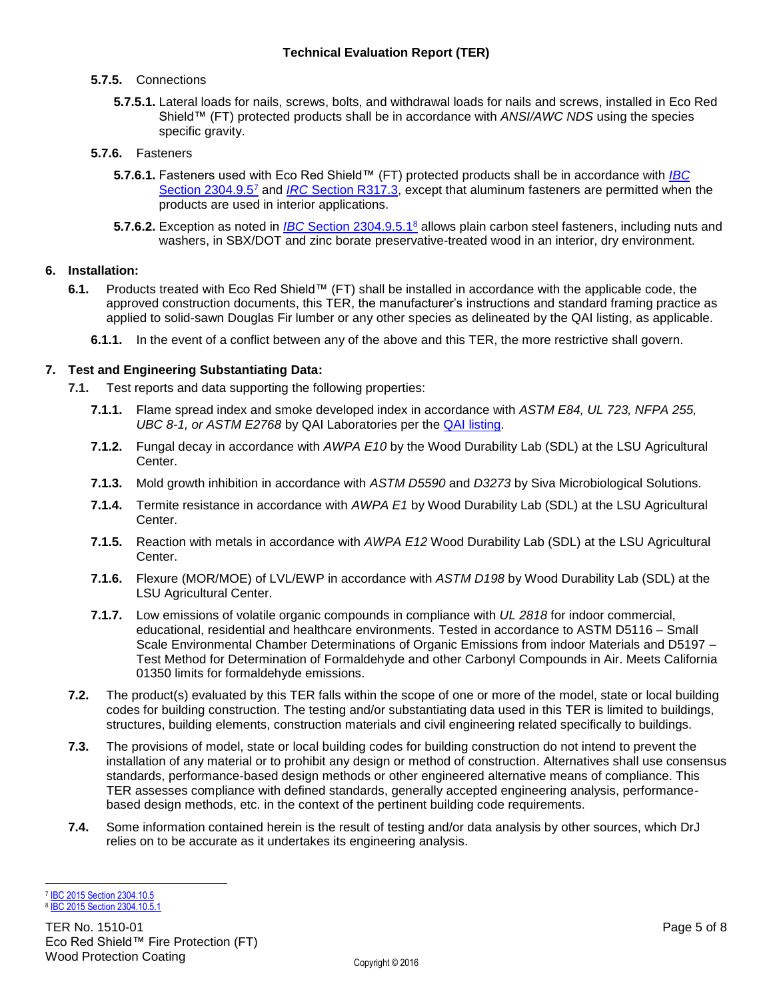### **5.7.5.** Connections

**5.7.5.1.** Lateral loads for nails, screws, bolts, and withdrawal loads for nails and screws, installed in Eco Red Shield™ (FT) protected products shall be in accordance with *ANSI/AWC NDS* using the species specific gravity.

### **5.7.6.** Fasteners

- **5.7.6.1.** Fasteners used with Eco Red Shield™ (FT) protected products shall be in accordance with *[IBC](http://publicecodes.cyberregs.com/icod/ibc/2012/icod_ibc_2012_23_par094.htm)*  [Section 2304.9.5](http://publicecodes.cyberregs.com/icod/ibc/2012/icod_ibc_2012_23_par094.htm)<sup>7</sup> and *IRC* [Section R317.3,](http://publicecodes.cyberregs.com/icod/irc/2012/icod_irc_2012_3_par236.htm?bu2=undefined) except that aluminum fasteners are permitted when the products are used in interior applications.
- **5.7.6.2.** Exception as noted in *IBC* [Section 2304.9.5.1](http://publicecodes.cyberregs.com/icod/ibc/2012/icod_ibc_2012_23_par095.htm)<sup>8</sup> allows plain carbon steel fasteners, including nuts and washers, in SBX/DOT and zinc borate preservative-treated wood in an interior, dry environment.

## **6. Installation:**

- **6.1.** Products treated with Eco Red Shield™ (FT) shall be installed in accordance with the applicable code, the approved construction documents, this TER, the manufacturer's instructions and standard framing practice as applied to solid-sawn Douglas Fir lumber or any other species as delineated by the QAI listing, as applicable.
	- **6.1.1.** In the event of a conflict between any of the above and this TER, the more restrictive shall govern.

## **7. Test and Engineering Substantiating Data:**

- **7.1.** Test reports and data supporting the following properties:
	- **7.1.1.** Flame spread index and smoke developed index in accordance with *ASTM E84, UL 723, NFPA 255, UBC 8-1, or ASTM E2768* by QAI Laboratories per the [QAI listing.](http://www.qai.org/Listing_Pages/QAI_Listing_B1053-1_Eco_Building_Products.htm)
	- **7.1.2.** Fungal decay in accordance with *AWPA E10* by the Wood Durability Lab (SDL) at the LSU Agricultural Center.
	- **7.1.3.** Mold growth inhibition in accordance with *ASTM D5590* and *D3273* by Siva Microbiological Solutions.
	- **7.1.4.** Termite resistance in accordance with *AWPA E1* by Wood Durability Lab (SDL) at the LSU Agricultural Center.
	- **7.1.5.** Reaction with metals in accordance with *AWPA E12* Wood Durability Lab (SDL) at the LSU Agricultural Center.
	- **7.1.6.** Flexure (MOR/MOE) of LVL/EWP in accordance with *ASTM D198* by Wood Durability Lab (SDL) at the LSU Agricultural Center.
	- **7.1.7.** Low emissions of volatile organic compounds in compliance with *UL 2818* for indoor commercial, educational, residential and healthcare environments. Tested in accordance to ASTM D5116 – Small Scale Environmental Chamber Determinations of Organic Emissions from indoor Materials and D5197 – Test Method for Determination of Formaldehyde and other Carbonyl Compounds in Air. Meets California 01350 limits for formaldehyde emissions.
- **7.2.** The product(s) evaluated by this TER falls within the scope of one or more of the model, state or local building codes for building construction. The testing and/or substantiating data used in this TER is limited to buildings, structures, building elements, construction materials and civil engineering related specifically to buildings.
- **7.3.** The provisions of model, state or local building codes for building construction do not intend to prevent the installation of any material or to prohibit any design or method of construction. Alternatives shall use consensus standards, performance-based design methods or other engineered alternative means of compliance. This TER assesses compliance with defined standards, generally accepted engineering analysis, performancebased design methods, etc. in the context of the pertinent building code requirements.
- **7.4.** Some information contained herein is the result of testing and/or data analysis by other sources, which DrJ relies on to be accurate as it undertakes its engineering analysis.

 7 [IBC 2015 Section 2304.10.5](http://codes.iccsafe.org/app/book/content/2015-I-Codes/2015%20IBC%20HTML/Chapter%2023.html) 8 [IBC 2015 Section 2304.10.5.1](http://codes.iccsafe.org/app/book/content/2015-I-Codes/2015%20IBC%20HTML/Chapter%2023.html)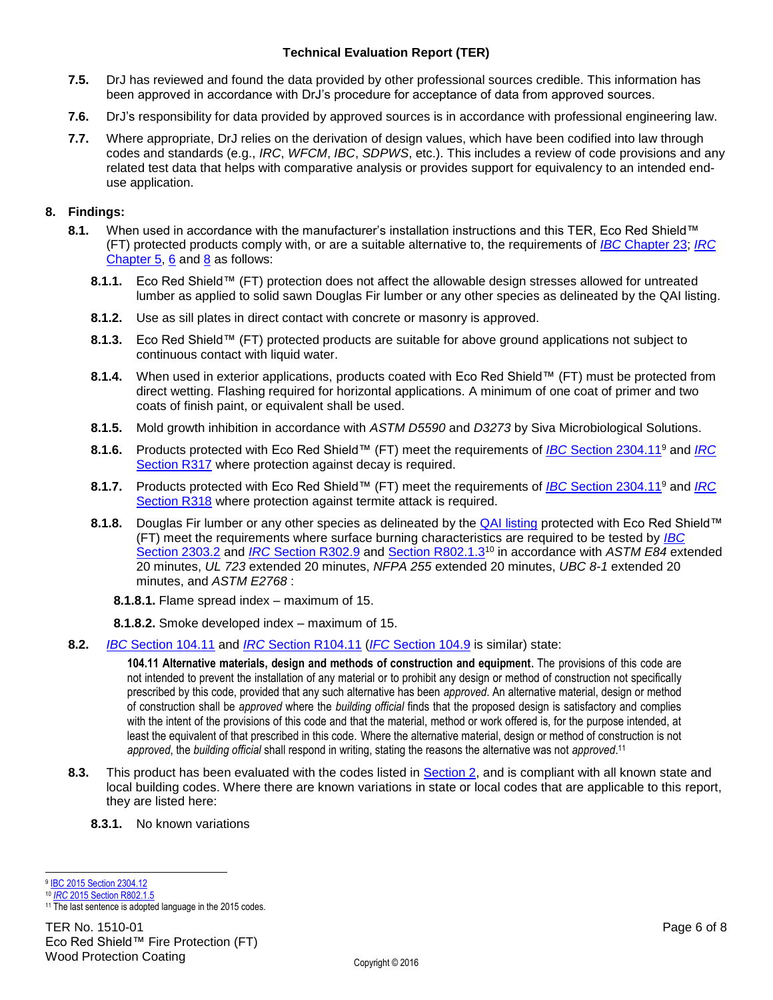- **7.5.** DrJ has reviewed and found the data provided by other professional sources credible. This information has been approved in accordance with DrJ's procedure for acceptance of data from approved sources.
- **7.6.** DrJ's responsibility for data provided by approved sources is in accordance with professional engineering law.
- **7.7.** Where appropriate, DrJ relies on the derivation of design values, which have been codified into law through codes and standards (e.g., *IRC*, *WFCM*, *IBC*, *SDPWS*, etc.). This includes a review of code provisions and any related test data that helps with comparative analysis or provides support for equivalency to an intended enduse application.

### <span id="page-5-0"></span>**8. Findings:**

- **8.1.** When used in accordance with the manufacturer's installation instructions and this TER, Eco Red Shield™ (FT) protected products comply with, or are a suitable alternative to, the requirements of *IBC* [Chapter 23;](http://publicecodes.cyberregs.com/icod/ibc/2012/icod_ibc_2012_23_sec001.htm) *[IRC](http://publicecodes.cyberregs.com/icod/irc/2012/icod_irc_2012_5_sec001.htm)* [Chapter 5,](http://publicecodes.cyberregs.com/icod/irc/2012/icod_irc_2012_5_sec001.htm) [6](http://publicecodes.cyberregs.com/icod/irc/2012/icod_irc_2012_6_sec001.htm) and [8](http://publicecodes.cyberregs.com/icod/irc/2012/icod_irc_2012_8_sec001.htm) as follows:
	- **8.1.1.** Eco Red Shield™ (FT) protection does not affect the allowable design stresses allowed for untreated lumber as applied to solid sawn Douglas Fir lumber or any other species as delineated by the QAI listing.
	- **8.1.2.** Use as sill plates in direct contact with concrete or masonry is approved.
	- **8.1.3.** Eco Red Shield™ (FT) protected products are suitable for above ground applications not subject to continuous contact with liquid water.
	- **8.1.4.** When used in exterior applications, products coated with Eco Red Shield™ (FT) must be protected from direct wetting. Flashing required for horizontal applications. A minimum of one coat of primer and two coats of finish paint, or equivalent shall be used.
	- **8.1.5.** Mold growth inhibition in accordance with *ASTM D5590* and *D3273* by Siva Microbiological Solutions.
	- **8.1.6.** Products protected with Eco Red Shield™ (FT) meet the requirements of *IBC* [Section 2304.11](http://publicecodes.cyberregs.com/icod/ibc/2012/icod_ibc_2012_23_par108.htm)<sup>9</sup> and *[IRC](http://publicecodes.cyberregs.com/icod/irc/2012/icod_irc_2012_3_sec017.htm?bu2=undefined)*  [Section R317](http://publicecodes.cyberregs.com/icod/irc/2012/icod_irc_2012_3_sec017.htm?bu2=undefined) where protection against decay is required.
	- **8.1.7.** Products protected with Eco Red Shield™ (FT) meet the requirements of *IBC* [Section 2304.11](http://publicecodes.cyberregs.com/icod/ibc/2012/icod_ibc_2012_23_par108.htm)[9](http://publicecodes.cyberregs.com/icod/ibc/2012/icod_ibc_2012_23_par108.htm) and *[IRC](http://publicecodes.cyberregs.com/icod/irc/2012/icod_irc_2012_3_sec018.htm?bu2=undefined)*  [Section R318](http://publicecodes.cyberregs.com/icod/irc/2012/icod_irc_2012_3_sec018.htm?bu2=undefined) where protection against termite attack is required.
	- **8.1.8.** Douglas Fir lumber or any other species as delineated by the [QAI listing](http://www.qai.org/Listing_Pages/QAI_Listing_B1053-1_Eco_Building_Products.htm) protected with Eco Red Shield™ (FT) meet the requirements where surface burning characteristics are required to be tested by *[IBC](http://publicecodes.cyberregs.com/icod/ibc/2012/icod_ibc_2012_23_par026.htm)* [Section 2303.2](http://publicecodes.cyberregs.com/icod/ibc/2012/icod_ibc_2012_23_par026.htm) and *IRC* [Section R302.9](http://publicecodes.cyberregs.com/icod/irc/2012/icod_irc_2012_3_par061.htm?bu2=undefined) and Section [R802.1.3](http://publicecodes.cyberregs.com/icod/irc/2012/icod_irc_2012_8_par007.htm?bu2=undefined)<sup>10</sup> in accordance with *ASTM E84* extended 20 minutes, *UL 723* extended 20 minutes, *NFPA 255* extended 20 minutes, *UBC 8-1* extended 20 minutes, and *ASTM E2768* :
		- **8.1.8.1.** Flame spread index maximum of 15.
		- **8.1.8.2.** Smoke developed index maximum of 15.
- **8.2.** *IBC* [Section 104.11](http://publicecodes.cyberregs.com/icod/ibc/2012/icod_ibc_2012_1_par035.htm) and *IRC* [Section R104.11](http://publicecodes.cyberregs.com/icod/irc/2012/icod_irc_2012_1_par029.htm) (*IFC* [Section 104.9](http://publicecodes.cyberregs.com/icod/ifc/2012/icod_ifc_2012_1_par041.htm) is similar) state:

**104.11 Alternative materials, design and methods of construction and equipment.** The provisions of this code are not intended to prevent the installation of any material or to prohibit any design or method of construction not specifically prescribed by this code, provided that any such alternative has been *approved*. An alternative material, design or method of construction shall be *approved* where the *building official* finds that the proposed design is satisfactory and complies with the intent of the provisions of this code and that the material, method or work offered is, for the purpose intended, at least the equivalent of that prescribed in this code. Where the alternative material, design or method of construction is not *approved*, the *building official* shall respond in writing, stating the reasons the alternative was not *approved*. 11

- **8.3.** This product has been evaluated with the codes listed in [Section 2,](#page-1-0) and is compliant with all known state and local building codes. Where there are known variations in state or local codes that are applicable to this report, they are listed here:
	- **8.3.1.** No known variations

 9 [IBC 2015 Section 2304.12](http://codes.iccsafe.org/app/book/content/2015-I-Codes/2015%20IBC%20HTML/Chapter%2023.html)

<sup>10</sup> *IRC* [2015 Section R802.1.5](http://codes.iccsafe.org/app/book/content/2015-I-Codes/2015%20IRC%20HTML/Chapter%208.html) <sup>11</sup> The last sentence is adopted language in the 2015 codes.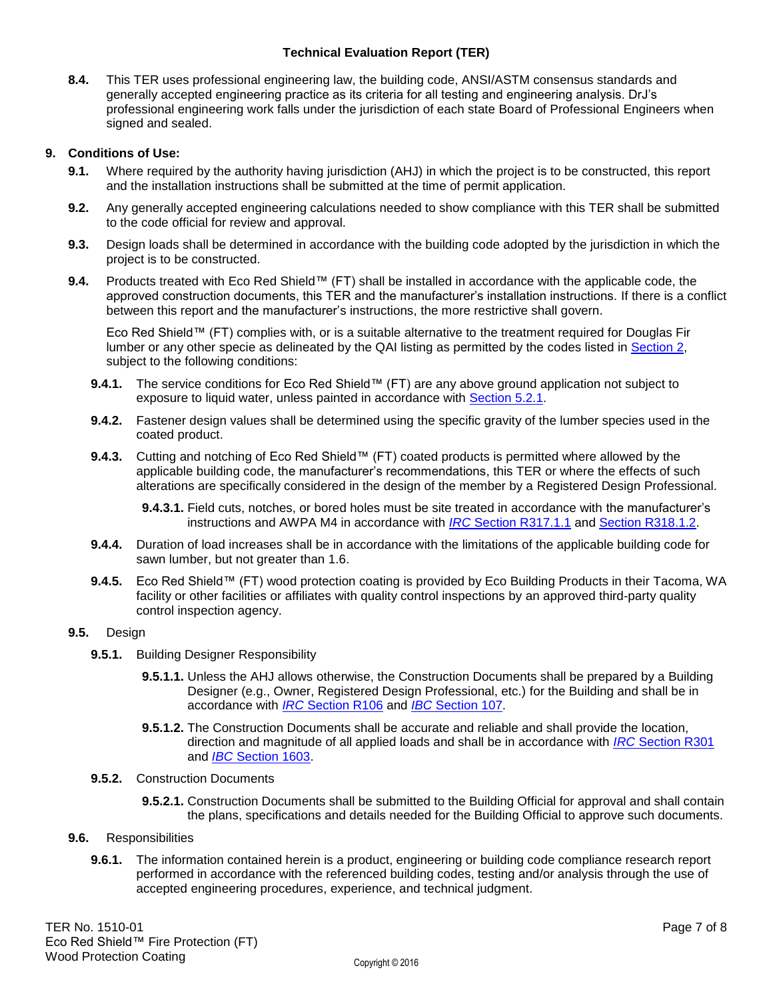**8.4.** This TER uses professional engineering law, the building code, ANSI/ASTM consensus standards and generally accepted engineering practice as its criteria for all testing and engineering analysis. DrJ's professional engineering work falls under the jurisdiction of each state Board of Professional Engineers when signed and sealed.

### **9. Conditions of Use:**

- **9.1.** Where required by the authority having jurisdiction (AHJ) in which the project is to be constructed, this report and the installation instructions shall be submitted at the time of permit application.
- **9.2.** Any generally accepted engineering calculations needed to show compliance with this TER shall be submitted to the code official for review and approval.
- **9.3.** Design loads shall be determined in accordance with the building code adopted by the jurisdiction in which the project is to be constructed.
- 9.4. Products treated with Eco Red Shield™ (FT) shall be installed in accordance with the applicable code, the approved construction documents, this TER and the manufacturer's installation instructions. If there is a conflict between this report and the manufacturer's instructions, the more restrictive shall govern.

Eco Red Shield™ (FT) complies with, or is a suitable alternative to the treatment required for Douglas Fir lumber or any other specie as delineated by the QAI listing as permitted by the codes listed in [Section 2,](#page-1-0) subject to the following conditions:

- 9.4.1. The service conditions for Eco Red Shield™ (FT) are any above ground application not subject to exposure to liquid water, unless painted in accordance with [Section 5.2.1.](#page-3-0)
- **9.4.2.** Fastener design values shall be determined using the specific gravity of the lumber species used in the coated product.
- 9.4.3. Cutting and notching of Eco Red Shield<sup>™</sup> (FT) coated products is permitted where allowed by the applicable building code, the manufacturer's recommendations, this TER or where the effects of such alterations are specifically considered in the design of the member by a Registered Design Professional.

**9.4.3.1.** Field cuts, notches, or bored holes must be site treated in accordance with the manufacturer's instructions and AWPA M4 in accordance with *IRC* [Section R317.1.1](http://publicecodes.cyberregs.com/icod/irc/2012/icod_irc_2012_3_par229.htm?bu2=undefined) and [Section R318.1.2.](http://publicecodes.cyberregs.com/icod/irc/2012/icod_irc_2012_3_par246.htm?bu2=undefined)

- **9.4.4.** Duration of load increases shall be in accordance with the limitations of the applicable building code for sawn lumber, but not greater than 1.6.
- 9.4.5. Eco Red Shield™ (FT) wood protection coating is provided by Eco Building Products in their Tacoma, WA facility or other facilities or affiliates with quality control inspections by an approved third-party quality control inspection agency.

#### **9.5.** Design

- **9.5.1.** Building Designer Responsibility
	- **9.5.1.1.** Unless the AHJ allows otherwise, the Construction Documents shall be prepared by a Building Designer (e.g., Owner, Registered Design Professional, etc.) for the Building and shall be in accordance with *IRC* [Section R106](http://publicecodes.cyberregs.com/icod/irc/2012/icod_irc_2012_1_sec008.htm) and *IBC* [Section 107.](http://publicecodes.cyberregs.com/icod/ibc/2012/icod_ibc_2012_1_sec009.htm)
	- **9.5.1.2.** The Construction Documents shall be accurate and reliable and shall provide the location, direction and magnitude of all applied loads and shall be in accordance with *IRC* [Section R301](http://publicecodes.cyberregs.com/icod/irc/2012/icod_irc_2012_3_sec001.htm) and *IBC* [Section 1603.](http://publicecodes.cyberregs.com/icod/ibc/2012/icod_ibc_2012_16_sec003.htm)

#### **9.5.2.** Construction Documents

**9.5.2.1.** Construction Documents shall be submitted to the Building Official for approval and shall contain the plans, specifications and details needed for the Building Official to approve such documents.

#### **9.6.** Responsibilities

**9.6.1.** The information contained herein is a product, engineering or building code compliance research report performed in accordance with the referenced building codes, testing and/or analysis through the use of accepted engineering procedures, experience, and technical judgment.